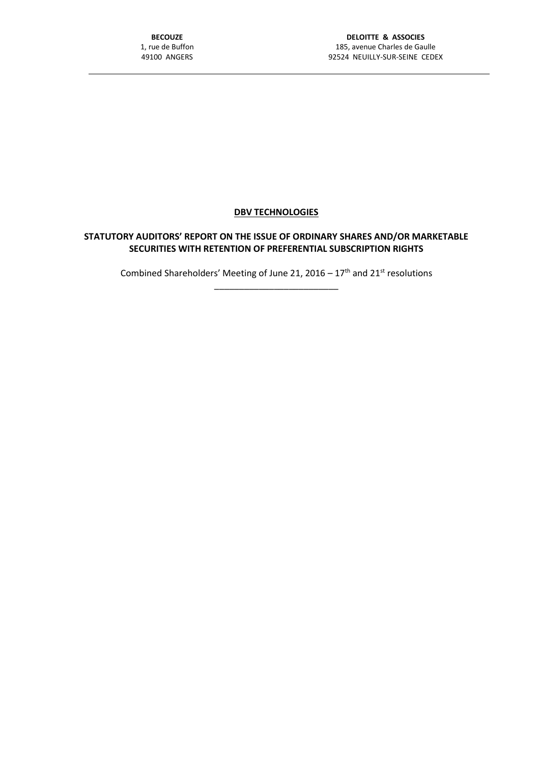## **DBV TECHNOLOGIES**

## **STATUTORY AUDITORS' REPORT ON THE ISSUE OF ORDINARY SHARES AND/OR MARKETABLE SECURITIES WITH RETENTION OF PREFERENTIAL SUBSCRIPTION RIGHTS**

Combined Shareholders' Meeting of June 21, 2016 –  $17<sup>th</sup>$  and 21<sup>st</sup> resolutions \_\_\_\_\_\_\_\_\_\_\_\_\_\_\_\_\_\_\_\_\_\_\_\_\_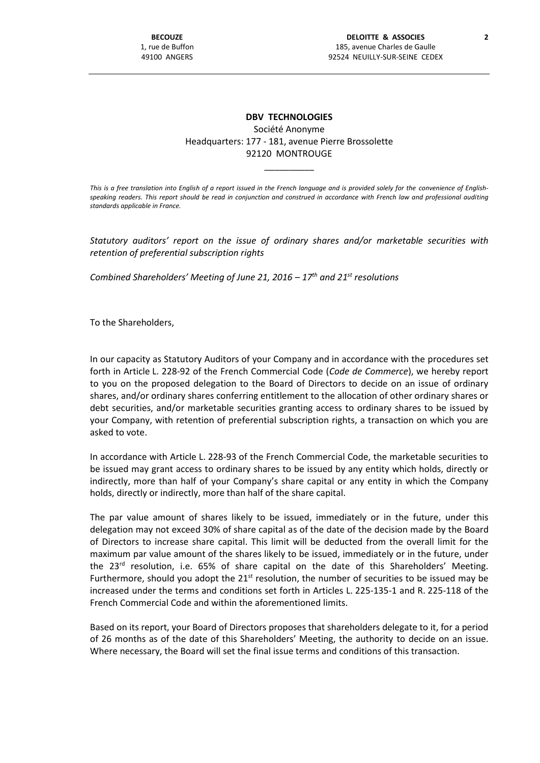## **DBV TECHNOLOGIES** Société Anonyme Headquarters: 177 - 181, avenue Pierre Brossolette 92120 MONTROUGE

*This is a free translation into English of a report issued in the French language and is provided solely for the convenience of Englishspeaking readers. This report should be read in conjunction and construed in accordance with French law and professional auditing standards applicable in France.*

\_\_\_\_\_\_\_\_\_\_

*Statutory auditors' report on the issue of ordinary shares and/or marketable securities with retention of preferential subscription rights*

*Combined Shareholders' Meeting of June 21, 2016 – 17th and 21st resolutions*

To the Shareholders,

In our capacity as Statutory Auditors of your Company and in accordance with the procedures set forth in Article L. 228-92 of the French Commercial Code (*Code de Commerce*), we hereby report to you on the proposed delegation to the Board of Directors to decide on an issue of ordinary shares, and/or ordinary shares conferring entitlement to the allocation of other ordinary shares or debt securities, and/or marketable securities granting access to ordinary shares to be issued by your Company, with retention of preferential subscription rights, a transaction on which you are asked to vote.

In accordance with Article L. 228-93 of the French Commercial Code, the marketable securities to be issued may grant access to ordinary shares to be issued by any entity which holds, directly or indirectly, more than half of your Company's share capital or any entity in which the Company holds, directly or indirectly, more than half of the share capital.

The par value amount of shares likely to be issued, immediately or in the future, under this delegation may not exceed 30% of share capital as of the date of the decision made by the Board of Directors to increase share capital. This limit will be deducted from the overall limit for the maximum par value amount of the shares likely to be issued, immediately or in the future, under the  $23<sup>rd</sup>$  resolution, i.e. 65% of share capital on the date of this Shareholders' Meeting. Furthermore, should you adopt the  $21<sup>st</sup>$  resolution, the number of securities to be issued may be increased under the terms and conditions set forth in Articles L. 225-135-1 and R. 225-118 of the French Commercial Code and within the aforementioned limits.

Based on its report, your Board of Directors proposes that shareholders delegate to it, for a period of 26 months as of the date of this Shareholders' Meeting, the authority to decide on an issue. Where necessary, the Board will set the final issue terms and conditions of this transaction.